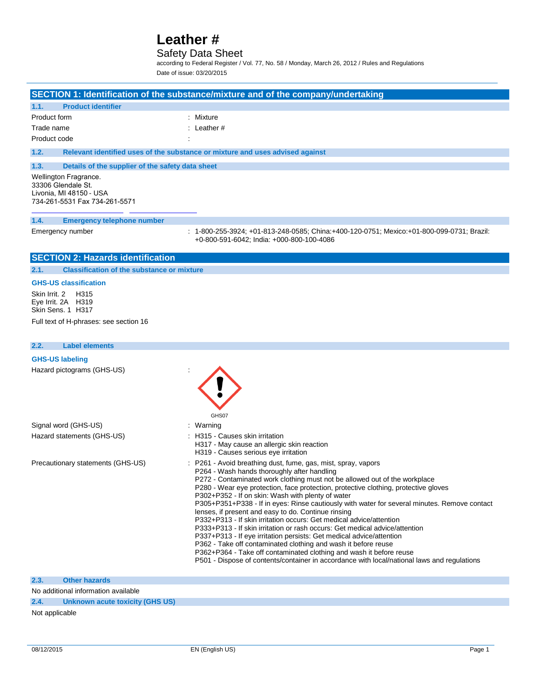### Safety Data Sheet

according to Federal Register / Vol. 77, No. 58 / Monday, March 26, 2012 / Rules and Regulations Date of issue: 03/20/2015

### **SECTION 1: Identification of the substance/mixture and of the company/undertaking**

| 1.1.         | <b>Product identifier</b> |                        |  |
|--------------|---------------------------|------------------------|--|
| Product form |                           | : Mixture              |  |
| Trade name   |                           | $\therefore$ Leather # |  |
|              | Product code              | $\cdot$                |  |

**1.2. Relevant identified uses of the substance or mixture and uses advised against**

#### **1.3. Details of the supplier of the safety data sheet**

Wellington Fragrance. 33306 Glendale St. Livonia, MI 48150 - USA 734-261-5531 Fax 734-261-5571

#### **1.4. Emergency telephone number**

Emergency number : 1-800-255-3924; +01-813-248-0585; China:+400-120-0751; Mexico:+01-800-099-0731; Brazil: +0-800-591-6042; India: +000-800-100-4086

### **SECTION 2: Hazards identification**

**2.1. Classification of the substance or mixture**

### **GHS-US classification**

Skin Irrit. 2 H315 Eye Irrit. 2A H319 Skin Sens. 1 H317

Full text of H-phrases: see section 16

### **2.2. Label elements**

# **GHS-US labeling** Hazard pictograms (GHS-US) : GHS07

| Signal word (GHS-US)              | : Warning                                                                                                                                                                                                                                                                                                                                                                                                                                                                                                                                                                                                                                                                                                                                                                                                                                                                                                                                                           |
|-----------------------------------|---------------------------------------------------------------------------------------------------------------------------------------------------------------------------------------------------------------------------------------------------------------------------------------------------------------------------------------------------------------------------------------------------------------------------------------------------------------------------------------------------------------------------------------------------------------------------------------------------------------------------------------------------------------------------------------------------------------------------------------------------------------------------------------------------------------------------------------------------------------------------------------------------------------------------------------------------------------------|
| Hazard statements (GHS-US)        | : H315 - Causes skin irritation<br>H317 - May cause an allergic skin reaction<br>H319 - Causes serious eye irritation                                                                                                                                                                                                                                                                                                                                                                                                                                                                                                                                                                                                                                                                                                                                                                                                                                               |
| Precautionary statements (GHS-US) | : P261 - Avoid breathing dust, fume, gas, mist, spray, vapors<br>P264 - Wash hands thoroughly after handling<br>P272 - Contaminated work clothing must not be allowed out of the workplace<br>P280 - Wear eye protection, face protection, protective clothing, protective gloves<br>P302+P352 - If on skin: Wash with plenty of water<br>P305+P351+P338 - If in eyes: Rinse cautiously with water for several minutes. Remove contact<br>lenses, if present and easy to do. Continue rinsing<br>P332+P313 - If skin irritation occurs: Get medical advice/attention<br>P333+P313 - If skin irritation or rash occurs: Get medical advice/attention<br>P337+P313 - If eye irritation persists: Get medical advice/attention<br>P362 - Take off contaminated clothing and wash it before reuse<br>P362+P364 - Take off contaminated clothing and wash it before reuse<br>P501 - Dispose of contents/container in accordance with local/national laws and regulations |

#### **2.3. Other hazards**

No additional information available

**2.4. Unknown acute toxicity (GHS US)**

Not applicable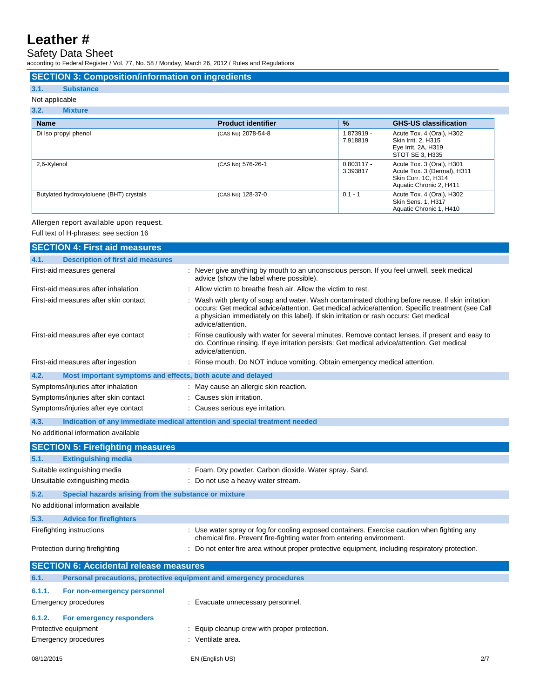### Safety Data Sheet

according to Federal Register / Vol. 77, No. 58 / Monday, March 26, 2012 / Rules and Regulations

### **SECTION 3: Composition/information on ingredients**

### **3.1. Substance**

### Not applicable

### **3.2. Mixture**

| <b>Name</b>                             | <b>Product identifier</b> | $\frac{9}{6}$            | <b>GHS-US classification</b>                                                                               |
|-----------------------------------------|---------------------------|--------------------------|------------------------------------------------------------------------------------------------------------|
| Di Iso propyl phenol                    | (CAS No) 2078-54-8        | 1.873919 -<br>7.918819   | Acute Tox. 4 (Oral), H302<br>Skin Irrit. 2, H315<br>Eye Irrit. 2A, H319<br>STOT SE 3, H335                 |
| 2,6-Xylenol                             | (CAS No) 576-26-1         | $0.803117 -$<br>3.393817 | Acute Tox. 3 (Oral), H301<br>Acute Tox. 3 (Dermal), H311<br>Skin Corr. 1C, H314<br>Aquatic Chronic 2, H411 |
| Butylated hydroxytoluene (BHT) crystals | (CAS No) 128-37-0         | $0.1 - 1$                | Acute Tox. 4 (Oral), H302<br>Skin Sens. 1, H317<br>Aquatic Chronic 1, H410                                 |

### Allergen report available upon request.

Full text of H-phrases: see section 16

|                                     | <b>SECTION 4: First aid measures</b>                                |                                                                                                                                                                                                                                                                                                                    |     |
|-------------------------------------|---------------------------------------------------------------------|--------------------------------------------------------------------------------------------------------------------------------------------------------------------------------------------------------------------------------------------------------------------------------------------------------------------|-----|
| 4.1.                                | <b>Description of first aid measures</b>                            |                                                                                                                                                                                                                                                                                                                    |     |
|                                     | First-aid measures general                                          | : Never give anything by mouth to an unconscious person. If you feel unwell, seek medical<br>advice (show the label where possible).                                                                                                                                                                               |     |
| First-aid measures after inhalation |                                                                     | : Allow victim to breathe fresh air. Allow the victim to rest.                                                                                                                                                                                                                                                     |     |
|                                     | First-aid measures after skin contact                               | Wash with plenty of soap and water. Wash contaminated clothing before reuse. If skin irritation<br>occurs: Get medical advice/attention. Get medical advice/attention. Specific treatment (see Call<br>a physician immediately on this label). If skin irritation or rash occurs: Get medical<br>advice/attention. |     |
|                                     | First-aid measures after eye contact                                | Rinse cautiously with water for several minutes. Remove contact lenses, if present and easy to<br>do. Continue rinsing. If eye irritation persists: Get medical advice/attention. Get medical<br>advice/attention.                                                                                                 |     |
|                                     | First-aid measures after ingestion                                  | Rinse mouth. Do NOT induce vomiting. Obtain emergency medical attention.                                                                                                                                                                                                                                           |     |
| 4.2.                                | Most important symptoms and effects, both acute and delayed         |                                                                                                                                                                                                                                                                                                                    |     |
|                                     | Symptoms/injuries after inhalation                                  | : May cause an allergic skin reaction.                                                                                                                                                                                                                                                                             |     |
|                                     | Symptoms/injuries after skin contact                                | : Causes skin irritation.                                                                                                                                                                                                                                                                                          |     |
|                                     | Symptoms/injuries after eye contact                                 | : Causes serious eye irritation.                                                                                                                                                                                                                                                                                   |     |
| 4.3.                                | No additional information available                                 | Indication of any immediate medical attention and special treatment needed                                                                                                                                                                                                                                         |     |
|                                     | <b>SECTION 5: Firefighting measures</b>                             |                                                                                                                                                                                                                                                                                                                    |     |
| 5.1.                                | <b>Extinguishing media</b>                                          |                                                                                                                                                                                                                                                                                                                    |     |
| Suitable extinguishing media        |                                                                     | : Foam. Dry powder. Carbon dioxide. Water spray. Sand.                                                                                                                                                                                                                                                             |     |
| Unsuitable extinguishing media      |                                                                     | : Do not use a heavy water stream.                                                                                                                                                                                                                                                                                 |     |
| 5.2.                                | Special hazards arising from the substance or mixture               |                                                                                                                                                                                                                                                                                                                    |     |
|                                     | No additional information available                                 |                                                                                                                                                                                                                                                                                                                    |     |
| 5.3.                                | <b>Advice for firefighters</b>                                      |                                                                                                                                                                                                                                                                                                                    |     |
|                                     | Firefighting instructions                                           | : Use water spray or fog for cooling exposed containers. Exercise caution when fighting any<br>chemical fire. Prevent fire-fighting water from entering environment.                                                                                                                                               |     |
|                                     | Protection during firefighting                                      | : Do not enter fire area without proper protective equipment, including respiratory protection.                                                                                                                                                                                                                    |     |
|                                     | <b>SECTION 6: Accidental release measures</b>                       |                                                                                                                                                                                                                                                                                                                    |     |
| 6.1.                                | Personal precautions, protective equipment and emergency procedures |                                                                                                                                                                                                                                                                                                                    |     |
| 6.1.1.                              | For non-emergency personnel                                         |                                                                                                                                                                                                                                                                                                                    |     |
|                                     | Emergency procedures                                                | : Evacuate unnecessary personnel.                                                                                                                                                                                                                                                                                  |     |
| 6.1.2.                              | For emergency responders                                            |                                                                                                                                                                                                                                                                                                                    |     |
| Protective equipment                |                                                                     | : Equip cleanup crew with proper protection.                                                                                                                                                                                                                                                                       |     |
|                                     | : Ventilate area.<br><b>Emergency procedures</b>                    |                                                                                                                                                                                                                                                                                                                    |     |
| 08/12/2015                          |                                                                     | EN (English US)                                                                                                                                                                                                                                                                                                    | 2/7 |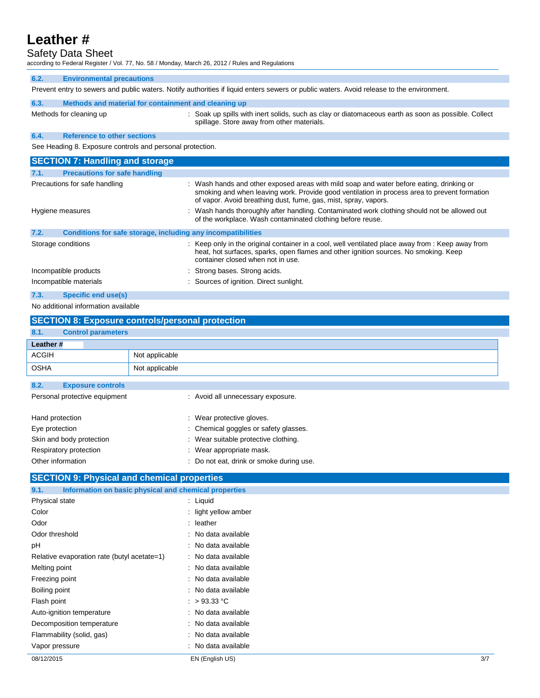### Safety Data Sheet

according to Federal Register / Vol. 77, No. 58 / Monday, March 26, 2012 / Rules and Regulations

| 6.2.                   | <b>Environmental precautions</b>                                                                                                          |                                                                                                                                                                                                                                                             |  |  |  |
|------------------------|-------------------------------------------------------------------------------------------------------------------------------------------|-------------------------------------------------------------------------------------------------------------------------------------------------------------------------------------------------------------------------------------------------------------|--|--|--|
|                        | Prevent entry to sewers and public waters. Notify authorities if liquid enters sewers or public waters. Avoid release to the environment. |                                                                                                                                                                                                                                                             |  |  |  |
| 6.3.                   | Methods and material for containment and cleaning up                                                                                      |                                                                                                                                                                                                                                                             |  |  |  |
|                        | Methods for cleaning up                                                                                                                   | : Soak up spills with inert solids, such as clay or diatomaceous earth as soon as possible. Collect<br>spillage. Store away from other materials.                                                                                                           |  |  |  |
| 6.4.                   | <b>Reference to other sections</b>                                                                                                        |                                                                                                                                                                                                                                                             |  |  |  |
|                        | See Heading 8. Exposure controls and personal protection.                                                                                 |                                                                                                                                                                                                                                                             |  |  |  |
|                        | <b>SECTION 7: Handling and storage</b>                                                                                                    |                                                                                                                                                                                                                                                             |  |  |  |
| 7.1.                   | <b>Precautions for safe handling</b>                                                                                                      |                                                                                                                                                                                                                                                             |  |  |  |
|                        | Precautions for safe handling                                                                                                             | : Wash hands and other exposed areas with mild soap and water before eating, drinking or<br>smoking and when leaving work. Provide good ventilation in process area to prevent formation<br>of vapor. Avoid breathing dust, fume, gas, mist, spray, vapors. |  |  |  |
| Hygiene measures       |                                                                                                                                           | : Wash hands thoroughly after handling. Contaminated work clothing should not be allowed out<br>of the workplace. Wash contaminated clothing before reuse.                                                                                                  |  |  |  |
| 7.2.                   | Conditions for safe storage, including any incompatibilities                                                                              |                                                                                                                                                                                                                                                             |  |  |  |
|                        | Storage conditions                                                                                                                        | : Keep only in the original container in a cool, well ventilated place away from : Keep away from<br>heat, hot surfaces, sparks, open flames and other ignition sources. No smoking. Keep<br>container closed when not in use.                              |  |  |  |
| Incompatible products  |                                                                                                                                           | : Strong bases. Strong acids.                                                                                                                                                                                                                               |  |  |  |
| Incompatible materials |                                                                                                                                           | : Sources of ignition. Direct sunlight.                                                                                                                                                                                                                     |  |  |  |
| 7.3.                   | <b>Specific end use(s)</b>                                                                                                                |                                                                                                                                                                                                                                                             |  |  |  |

No additional information available

| <b>SECTION 8: Exposure controls/personal protection</b> |                                          |  |  |  |
|---------------------------------------------------------|------------------------------------------|--|--|--|
| 8.1.                                                    | <b>Control parameters</b>                |  |  |  |
| Leather #                                               |                                          |  |  |  |
| <b>ACGIH</b>                                            | Not applicable                           |  |  |  |
| <b>OSHA</b>                                             | Not applicable                           |  |  |  |
| 8.2.<br><b>Exposure controls</b>                        |                                          |  |  |  |
| Personal protective equipment                           | : Avoid all unnecessary exposure.        |  |  |  |
| Hand protection                                         | : Wear protective gloves.                |  |  |  |
| Eye protection                                          | : Chemical goggles or safety glasses.    |  |  |  |
| Skin and body protection                                | : Wear suitable protective clothing.     |  |  |  |
| Respiratory protection                                  | : Wear appropriate mask.                 |  |  |  |
| Other information                                       | : Do not eat, drink or smoke during use. |  |  |  |
|                                                         |                                          |  |  |  |

### **SECTION 9: Physical and chemical properties**

| Information on basic physical and chemical properties<br>9.1. |                      |     |
|---------------------------------------------------------------|----------------------|-----|
| Physical state                                                | $:$ Liquid           |     |
| Color                                                         | : light yellow amber |     |
| Odor                                                          | $:$ leather          |     |
| Odor threshold                                                | : No data available  |     |
| рH                                                            | : No data available  |     |
| Relative evaporation rate (butyl acetate=1)                   | : No data available  |     |
| Melting point                                                 | : No data available  |     |
| Freezing point                                                | : No data available  |     |
| Boiling point                                                 | : No data available  |     |
| Flash point                                                   | : $>93.33^{\circ}$ C |     |
| Auto-ignition temperature                                     | : No data available  |     |
| Decomposition temperature                                     | : No data available  |     |
| Flammability (solid, gas)                                     | : No data available  |     |
| Vapor pressure                                                | : No data available  |     |
| 08/12/2015                                                    | EN (English US)      | 3/7 |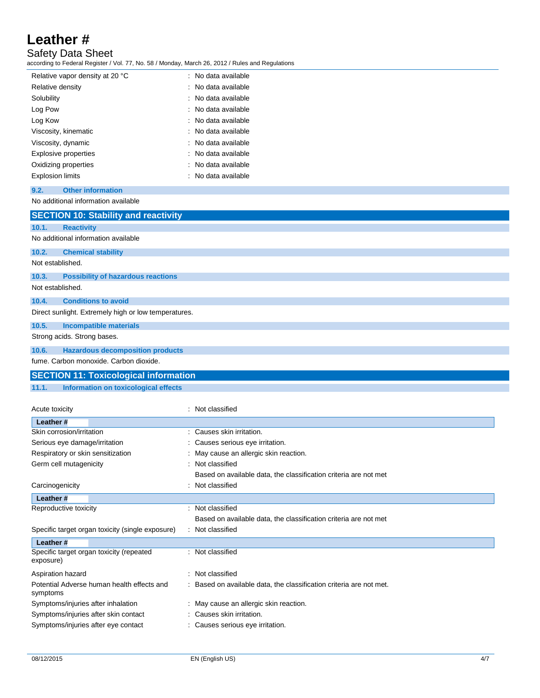Safety Data Sheet

according to Federal Register / Vol. 77, No. 58 / Monday, March 26, 2012 / Rules and Regulations

| Relative vapor density at 20 °C | : No data available |
|---------------------------------|---------------------|
| Relative density                | : No data available |
| Solubility                      | : No data available |
| Log Pow                         | : No data available |
| Log Kow                         | : No data available |
| Viscosity, kinematic            | : No data available |
| Viscosity, dynamic              | : No data available |
| Explosive properties            | : No data available |
| Oxidizing properties            | : No data available |
| <b>Explosion limits</b>         | : No data available |

### **9.2. Other information**

### No additional information available

|                                                      | <b>SECTION 10: Stability and reactivity</b>  |  |  |  |  |
|------------------------------------------------------|----------------------------------------------|--|--|--|--|
| 10.1.                                                | <b>Reactivity</b>                            |  |  |  |  |
|                                                      | No additional information available          |  |  |  |  |
| 10.2.                                                | <b>Chemical stability</b>                    |  |  |  |  |
|                                                      | Not established.                             |  |  |  |  |
| 10.3.                                                | <b>Possibility of hazardous reactions</b>    |  |  |  |  |
| Not established.                                     |                                              |  |  |  |  |
| 10.4.                                                | <b>Conditions to avoid</b>                   |  |  |  |  |
| Direct sunlight. Extremely high or low temperatures. |                                              |  |  |  |  |
| 10.5.                                                | <b>Incompatible materials</b>                |  |  |  |  |
| Strong acids. Strong bases.                          |                                              |  |  |  |  |
| 10.6.                                                | <b>Hazardous decomposition products</b>      |  |  |  |  |
|                                                      | fume. Carbon monoxide. Carbon dioxide.       |  |  |  |  |
|                                                      | <b>SECTION 11: Toxicological information</b> |  |  |  |  |

### **11.1. Information on toxicological effects**

| Acute toxicity                                         |   | Not classified                                                    |
|--------------------------------------------------------|---|-------------------------------------------------------------------|
| Leather #                                              |   |                                                                   |
| Skin corrosion/irritation                              |   | : Causes skin irritation.                                         |
| Serious eye damage/irritation                          |   | : Causes serious eye irritation.                                  |
| Respiratory or skin sensitization                      |   | May cause an allergic skin reaction.                              |
| Germ cell mutagenicity                                 |   | Not classified                                                    |
|                                                        |   | Based on available data, the classification criteria are not met  |
| Carcinogenicity                                        |   | Not classified                                                    |
| Leather #                                              |   |                                                                   |
| Reproductive toxicity                                  | t | Not classified                                                    |
|                                                        |   | Based on available data, the classification criteria are not met  |
| Specific target organ toxicity (single exposure)       |   | Not classified                                                    |
| Leather #                                              |   |                                                                   |
| Specific target organ toxicity (repeated<br>exposure)  |   | Not classified                                                    |
| Aspiration hazard                                      |   | Not classified                                                    |
| Potential Adverse human health effects and<br>symptoms |   | Based on available data, the classification criteria are not met. |
| Symptoms/injuries after inhalation                     |   | : May cause an allergic skin reaction.                            |
| Symptoms/injuries after skin contact                   |   | Causes skin irritation.                                           |
| Symptoms/injuries after eye contact                    |   | Causes serious eye irritation.                                    |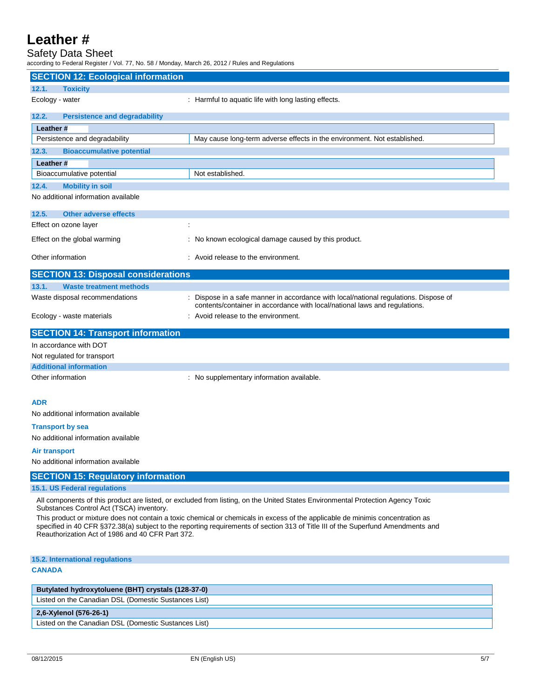## Safety Data Sheet

according to Federal Register / Vol. 77, No. 58 / Monday, March 26, 2012 / Rules and Regulations

| <b>SECTION 12: Ecological information</b>                                                                                                                                  |                                                                                                                                                                  |  |  |  |
|----------------------------------------------------------------------------------------------------------------------------------------------------------------------------|------------------------------------------------------------------------------------------------------------------------------------------------------------------|--|--|--|
| 12.1.<br><b>Toxicity</b>                                                                                                                                                   |                                                                                                                                                                  |  |  |  |
| Ecology - water                                                                                                                                                            | : Harmful to aquatic life with long lasting effects.                                                                                                             |  |  |  |
| 12.2.<br><b>Persistence and degradability</b>                                                                                                                              |                                                                                                                                                                  |  |  |  |
| Leather#                                                                                                                                                                   |                                                                                                                                                                  |  |  |  |
| Persistence and degradability                                                                                                                                              | May cause long-term adverse effects in the environment. Not established.                                                                                         |  |  |  |
| 12.3.<br><b>Bioaccumulative potential</b>                                                                                                                                  |                                                                                                                                                                  |  |  |  |
| Leather#                                                                                                                                                                   |                                                                                                                                                                  |  |  |  |
| Bioaccumulative potential                                                                                                                                                  | Not established.                                                                                                                                                 |  |  |  |
| <b>Mobility in soil</b><br>12.4.                                                                                                                                           |                                                                                                                                                                  |  |  |  |
| No additional information available                                                                                                                                        |                                                                                                                                                                  |  |  |  |
| 12.5.<br><b>Other adverse effects</b>                                                                                                                                      |                                                                                                                                                                  |  |  |  |
| Effect on ozone layer                                                                                                                                                      |                                                                                                                                                                  |  |  |  |
| Effect on the global warming                                                                                                                                               | : No known ecological damage caused by this product.                                                                                                             |  |  |  |
| Other information                                                                                                                                                          | : Avoid release to the environment.                                                                                                                              |  |  |  |
| <b>SECTION 13: Disposal considerations</b>                                                                                                                                 |                                                                                                                                                                  |  |  |  |
| 13.1.<br><b>Waste treatment methods</b>                                                                                                                                    |                                                                                                                                                                  |  |  |  |
| Waste disposal recommendations                                                                                                                                             | Dispose in a safe manner in accordance with local/national regulations. Dispose of<br>contents/container in accordance with local/national laws and regulations. |  |  |  |
| Ecology - waste materials                                                                                                                                                  | : Avoid release to the environment.                                                                                                                              |  |  |  |
| <b>SECTION 14: Transport information</b>                                                                                                                                   |                                                                                                                                                                  |  |  |  |
| In accordance with DOT                                                                                                                                                     |                                                                                                                                                                  |  |  |  |
| Not regulated for transport                                                                                                                                                |                                                                                                                                                                  |  |  |  |
| <b>Additional information</b>                                                                                                                                              |                                                                                                                                                                  |  |  |  |
| Other information                                                                                                                                                          | : No supplementary information available.                                                                                                                        |  |  |  |
|                                                                                                                                                                            |                                                                                                                                                                  |  |  |  |
| <b>ADR</b><br>No additional information available                                                                                                                          |                                                                                                                                                                  |  |  |  |
|                                                                                                                                                                            |                                                                                                                                                                  |  |  |  |
| <b>Transport by sea</b><br>No additional information available                                                                                                             |                                                                                                                                                                  |  |  |  |
|                                                                                                                                                                            |                                                                                                                                                                  |  |  |  |
| <b>Air transport</b><br>No additional information available                                                                                                                |                                                                                                                                                                  |  |  |  |
|                                                                                                                                                                            |                                                                                                                                                                  |  |  |  |
| <b>SECTION 15: Regulatory information</b>                                                                                                                                  |                                                                                                                                                                  |  |  |  |
| 15.1. US Federal regulations<br>All components of this product are listed, or excluded from listing, on the United States Environmental Protection Agency Toxic            |                                                                                                                                                                  |  |  |  |
| Substances Control Act (TSCA) inventory.<br>This product or mixture does not contain a toxic chemical or chemicals in excess of the applicable de minimis concentration as |                                                                                                                                                                  |  |  |  |
|                                                                                                                                                                            | specified in 40 CFR §372.38(a) subject to the reporting requirements of section 313 of Title III of the Superfund Amendments and                                 |  |  |  |
| Reauthorization Act of 1986 and 40 CFR Part 372.                                                                                                                           |                                                                                                                                                                  |  |  |  |
| 15.2. International regulations                                                                                                                                            |                                                                                                                                                                  |  |  |  |
| <b>CANADA</b>                                                                                                                                                              |                                                                                                                                                                  |  |  |  |
| Butylated hydroxytoluene (BHT) crystals (128-37-0)                                                                                                                         |                                                                                                                                                                  |  |  |  |
| Listed on the Canadian DSL (Domestic Sustances List)                                                                                                                       |                                                                                                                                                                  |  |  |  |
|                                                                                                                                                                            |                                                                                                                                                                  |  |  |  |

### **2,6-Xylenol (576-26-1)**

Listed on the Canadian DSL (Domestic Sustances List)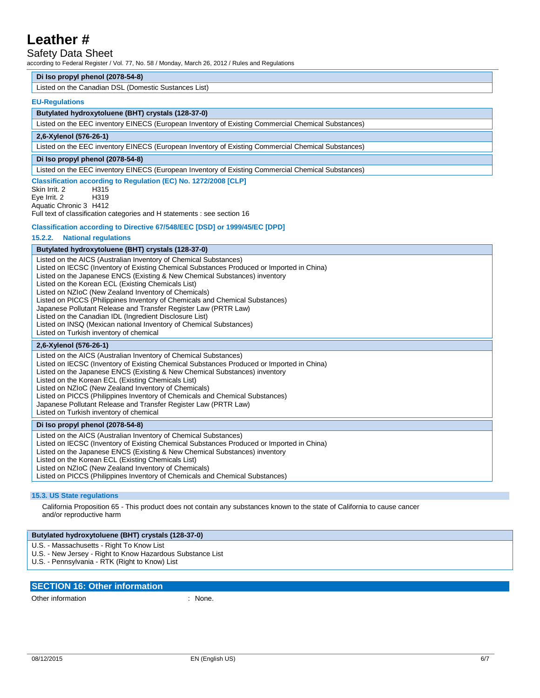### Safety Data Sheet

according to Federal Register / Vol. 77, No. 58 / Monday, March 26, 2012 / Rules and Regulations

### **Di Iso propyl phenol (2078-54-8)**

Listed on the Canadian DSL (Domestic Sustances List)

#### **EU-Regulations**

#### **Butylated hydroxytoluene (BHT) crystals (128-37-0)**

Listed on the EEC inventory EINECS (European Inventory of Existing Commercial Chemical Substances)

#### **2,6-Xylenol (576-26-1)**

Listed on the EEC inventory EINECS (European Inventory of Existing Commercial Chemical Substances)

### **Di Iso propyl phenol (2078-54-8)**

Listed on the EEC inventory EINECS (European Inventory of Existing Commercial Chemical Substances)

#### **Classification according to Regulation (EC) No. 1272/2008 [CLP]**

Skin Irrit. 2 H315 Eye Irrit. 2 H319 Aquatic Chronic 3 H412

Full text of classification categories and H statements : see section 16

### **Classification according to Directive 67/548/EEC [DSD] or 1999/45/EC [DPD]**

### **15.2.2. National regulations**

#### **Butylated hydroxytoluene (BHT) crystals (128-37-0)**

Listed on the AICS (Australian Inventory of Chemical Substances) Listed on IECSC (Inventory of Existing Chemical Substances Produced or Imported in China) Listed on the Japanese ENCS (Existing & New Chemical Substances) inventory Listed on the Korean ECL (Existing Chemicals List) Listed on NZIoC (New Zealand Inventory of Chemicals) Listed on PICCS (Philippines Inventory of Chemicals and Chemical Substances) Japanese Pollutant Release and Transfer Register Law (PRTR Law) Listed on the Canadian IDL (Ingredient Disclosure List) Listed on INSQ (Mexican national Inventory of Chemical Substances) Listed on Turkish inventory of chemical **2,6-Xylenol (576-26-1)** Listed on the AICS (Australian Inventory of Chemical Substances) Listed on IECSC (Inventory of Existing Chemical Substances Produced or Imported in China) Listed on the Japanese ENCS (Existing & New Chemical Substances) inventory

Listed on the Korean ECL (Existing Chemicals List)

Listed on NZIoC (New Zealand Inventory of Chemicals)

Listed on PICCS (Philippines Inventory of Chemicals and Chemical Substances)

Japanese Pollutant Release and Transfer Register Law (PRTR Law)

Listed on Turkish inventory of chemical

### **Di Iso propyl phenol (2078-54-8)**

Listed on the AICS (Australian Inventory of Chemical Substances) Listed on IECSC (Inventory of Existing Chemical Substances Produced or Imported in China) Listed on the Japanese ENCS (Existing & New Chemical Substances) inventory Listed on the Korean ECL (Existing Chemicals List) Listed on NZIoC (New Zealand Inventory of Chemicals) Listed on PICCS (Philippines Inventory of Chemicals and Chemical Substances)

#### **15.3. US State regulations**

California Proposition 65 - This product does not contain any substances known to the state of California to cause cancer and/or reproductive harm

### **Butylated hydroxytoluene (BHT) crystals (128-37-0)**

U.S. - Massachusetts - Right To Know List

- U.S. New Jersey Right to Know Hazardous Substance List
- U.S. Pennsylvania RTK (Right to Know) List

### **SECTION 16: Other information**

Other information  $\blacksquare$  : None.